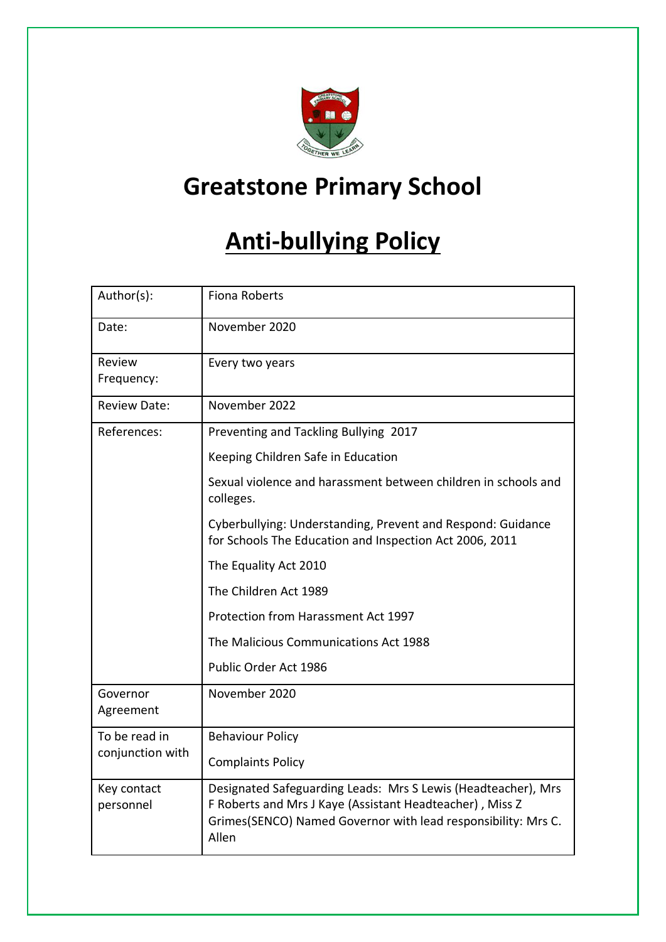

# **Greatstone Primary School**

# **Anti-bullying Policy**

| Author(s):                        | <b>Fiona Roberts</b>                                                                                                                                                                                |
|-----------------------------------|-----------------------------------------------------------------------------------------------------------------------------------------------------------------------------------------------------|
| Date:                             | November 2020                                                                                                                                                                                       |
| Review<br>Frequency:              | Every two years                                                                                                                                                                                     |
| <b>Review Date:</b>               | November 2022                                                                                                                                                                                       |
| References:                       | Preventing and Tackling Bullying 2017                                                                                                                                                               |
|                                   | Keeping Children Safe in Education                                                                                                                                                                  |
|                                   | Sexual violence and harassment between children in schools and<br>colleges.                                                                                                                         |
|                                   | Cyberbullying: Understanding, Prevent and Respond: Guidance<br>for Schools The Education and Inspection Act 2006, 2011                                                                              |
|                                   | The Equality Act 2010                                                                                                                                                                               |
|                                   | The Children Act 1989                                                                                                                                                                               |
|                                   | Protection from Harassment Act 1997                                                                                                                                                                 |
|                                   | The Malicious Communications Act 1988                                                                                                                                                               |
|                                   | Public Order Act 1986                                                                                                                                                                               |
| Governor<br>Agreement             | November 2020                                                                                                                                                                                       |
| To be read in<br>conjunction with | <b>Behaviour Policy</b>                                                                                                                                                                             |
|                                   | <b>Complaints Policy</b>                                                                                                                                                                            |
| Key contact<br>personnel          | Designated Safeguarding Leads: Mrs S Lewis (Headteacher), Mrs<br>F Roberts and Mrs J Kaye (Assistant Headteacher), Miss Z<br>Grimes(SENCO) Named Governor with lead responsibility: Mrs C.<br>Allen |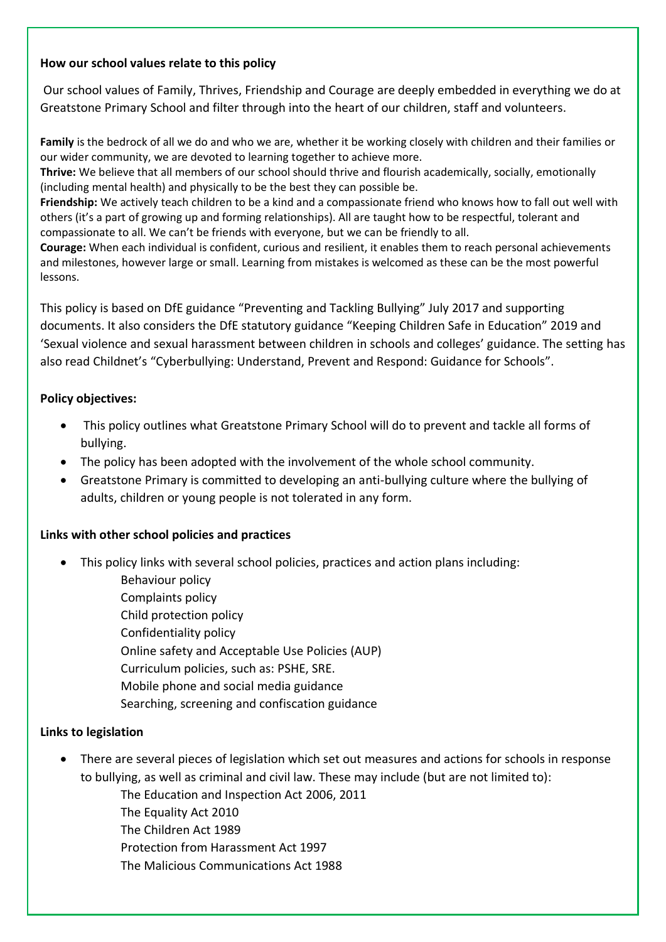#### **How our school values relate to this policy**

Our school values of Family, Thrives, Friendship and Courage are deeply embedded in everything we do at Greatstone Primary School and filter through into the heart of our children, staff and volunteers.

**Family** is the bedrock of all we do and who we are, whether it be working closely with children and their families or our wider community, we are devoted to learning together to achieve more.

**Thrive:** We believe that all members of our school should thrive and flourish academically, socially, emotionally (including mental health) and physically to be the best they can possible be.

**Friendship:** We actively teach children to be a kind and a compassionate friend who knows how to fall out well with others (it's a part of growing up and forming relationships). All are taught how to be respectful, tolerant and compassionate to all. We can't be friends with everyone, but we can be friendly to all.

**Courage:** When each individual is confident, curious and resilient, it enables them to reach personal achievements and milestones, however large or small. Learning from mistakes is welcomed as these can be the most powerful lessons.

This policy is based on DfE guidance "Preventing and Tackling Bullying" July 2017 and supporting documents. It also considers the DfE statutory guidance "Keeping Children Safe in Education" 2019 and 'Sexual violence and sexual harassment between children in schools and colleges' guidance. The setting has also read Childnet's "Cyberbullying: Understand, Prevent and Respond: Guidance for Schools".

#### **Policy objectives:**

- This policy outlines what Greatstone Primary School will do to prevent and tackle all forms of bullying.
- The policy has been adopted with the involvement of the whole school community.
- Greatstone Primary is committed to developing an anti-bullying culture where the bullying of adults, children or young people is not tolerated in any form.

#### **Links with other school policies and practices**

- This policy links with several school policies, practices and action plans including:
	- Behaviour policy Complaints policy Child protection policy Confidentiality policy Online safety and Acceptable Use Policies (AUP) Curriculum policies, such as: PSHE, SRE. Mobile phone and social media guidance Searching, screening and confiscation guidance

#### **Links to legislation**

• There are several pieces of legislation which set out measures and actions for schools in response to bullying, as well as criminal and civil law. These may include (but are not limited to):

The Education and Inspection Act 2006, 2011

- The Equality Act 2010
- The Children Act 1989

Protection from Harassment Act 1997

The Malicious Communications Act 1988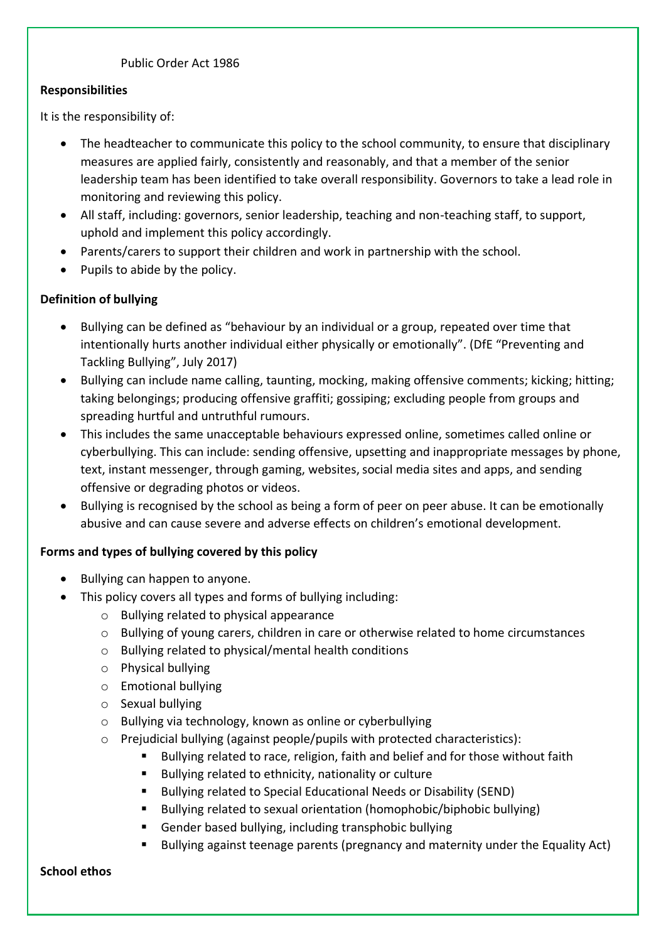#### Public Order Act 1986

#### **Responsibilities**

It is the responsibility of:

- The headteacher to communicate this policy to the school community, to ensure that disciplinary measures are applied fairly, consistently and reasonably, and that a member of the senior leadership team has been identified to take overall responsibility. Governors to take a lead role in monitoring and reviewing this policy.
- All staff, including: governors, senior leadership, teaching and non-teaching staff, to support, uphold and implement this policy accordingly.
- Parents/carers to support their children and work in partnership with the school.
- Pupils to abide by the policy.

### **Definition of bullying**

- Bullying can be defined as "behaviour by an individual or a group, repeated over time that intentionally hurts another individual either physically or emotionally". (DfE "Preventing and Tackling Bullying", July 2017)
- Bullying can include name calling, taunting, mocking, making offensive comments; kicking; hitting; taking belongings; producing offensive graffiti; gossiping; excluding people from groups and spreading hurtful and untruthful rumours.
- This includes the same unacceptable behaviours expressed online, sometimes called online or cyberbullying. This can include: sending offensive, upsetting and inappropriate messages by phone, text, instant messenger, through gaming, websites, social media sites and apps, and sending offensive or degrading photos or videos.
- Bullying is recognised by the school as being a form of peer on peer abuse. It can be emotionally abusive and can cause severe and adverse effects on children's emotional development.

#### **Forms and types of bullying covered by this policy**

- Bullying can happen to anyone.
- This policy covers all types and forms of bullying including:
	- o Bullying related to physical appearance
	- o Bullying of young carers, children in care or otherwise related to home circumstances
	- o Bullying related to physical/mental health conditions
	- o Physical bullying
	- o Emotional bullying
	- o Sexual bullying
	- o Bullying via technology, known as online or cyberbullying
	- $\circ$  Prejudicial bullying (against people/pupils with protected characteristics):
		- Bullying related to race, religion, faith and belief and for those without faith
		- Bullying related to ethnicity, nationality or culture
		- Bullying related to Special Educational Needs or Disability (SEND)
		- Bullying related to sexual orientation (homophobic/biphobic bullying)
		- Gender based bullying, including transphobic bullying
		- Bullying against teenage parents (pregnancy and maternity under the Equality Act)

#### **School ethos**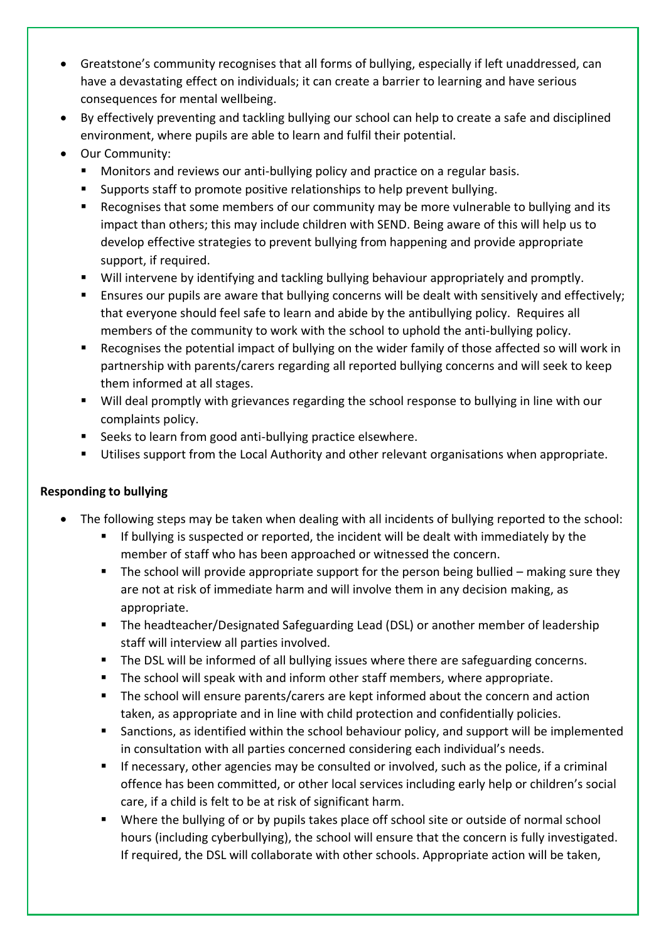- Greatstone's community recognises that all forms of bullying, especially if left unaddressed, can have a devastating effect on individuals; it can create a barrier to learning and have serious consequences for mental wellbeing.
- By effectively preventing and tackling bullying our school can help to create a safe and disciplined environment, where pupils are able to learn and fulfil their potential.
- Our Community:
	- Monitors and reviews our anti-bullying policy and practice on a regular basis.
	- Supports staff to promote positive relationships to help prevent bullying.
	- Recognises that some members of our community may be more vulnerable to bullying and its impact than others; this may include children with SEND. Being aware of this will help us to develop effective strategies to prevent bullying from happening and provide appropriate support, if required.
	- Will intervene by identifying and tackling bullying behaviour appropriately and promptly.
	- **E** Ensures our pupils are aware that bullying concerns will be dealt with sensitively and effectively; that everyone should feel safe to learn and abide by the antibullying policy. Requires all members of the community to work with the school to uphold the anti-bullying policy.
	- Recognises the potential impact of bullying on the wider family of those affected so will work in partnership with parents/carers regarding all reported bullying concerns and will seek to keep them informed at all stages.
	- Will deal promptly with grievances regarding the school response to bullying in line with our complaints policy.
	- Seeks to learn from good anti-bullying practice elsewhere.
	- Utilises support from the Local Authority and other relevant organisations when appropriate.

# **Responding to bullying**

- The following steps may be taken when dealing with all incidents of bullying reported to the school:
	- If bullying is suspected or reported, the incident will be dealt with immediately by the member of staff who has been approached or witnessed the concern.
	- $\blacksquare$  The school will provide appropriate support for the person being bullied making sure they are not at risk of immediate harm and will involve them in any decision making, as appropriate.
	- The headteacher/Designated Safeguarding Lead (DSL) or another member of leadership staff will interview all parties involved.
	- The DSL will be informed of all bullying issues where there are safeguarding concerns.
	- The school will speak with and inform other staff members, where appropriate.
	- The school will ensure parents/carers are kept informed about the concern and action taken, as appropriate and in line with child protection and confidentially policies.
	- Sanctions, as identified within the school behaviour policy, and support will be implemented in consultation with all parties concerned considering each individual's needs.
	- If necessary, other agencies may be consulted or involved, such as the police, if a criminal offence has been committed, or other local services including early help or children's social care, if a child is felt to be at risk of significant harm.
	- Where the bullying of or by pupils takes place off school site or outside of normal school hours (including cyberbullying), the school will ensure that the concern is fully investigated. If required, the DSL will collaborate with other schools. Appropriate action will be taken,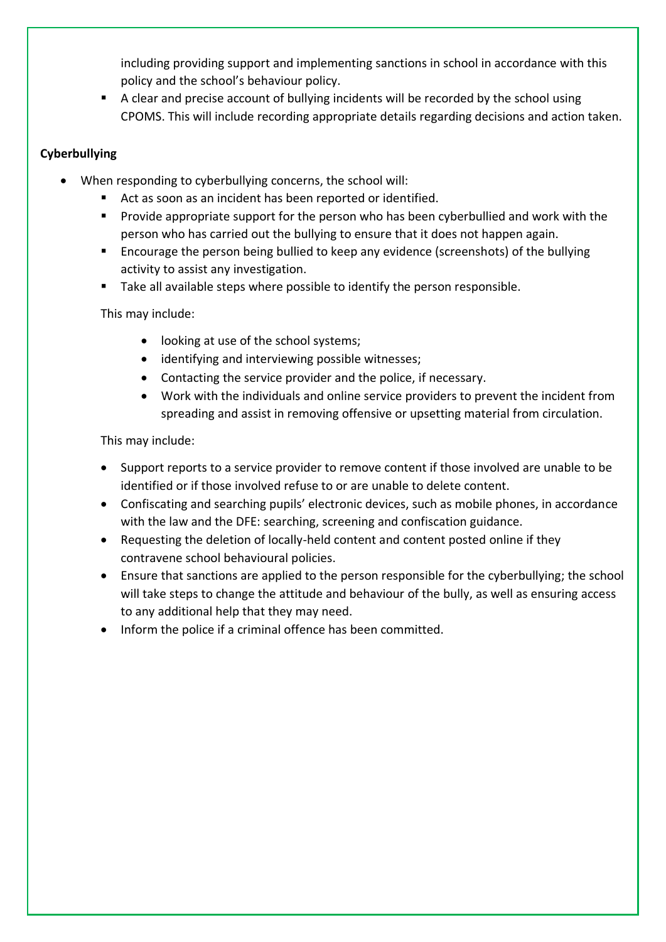including providing support and implementing sanctions in school in accordance with this policy and the school's behaviour policy.

■ A clear and precise account of bullying incidents will be recorded by the school using CPOMS. This will include recording appropriate details regarding decisions and action taken.

# **Cyberbullying**

- When responding to cyberbullying concerns, the school will:
	- Act as soon as an incident has been reported or identified.
	- Provide appropriate support for the person who has been cyberbullied and work with the person who has carried out the bullying to ensure that it does not happen again.
	- Encourage the person being bullied to keep any evidence (screenshots) of the bullying activity to assist any investigation.
	- Take all available steps where possible to identify the person responsible.

This may include:

- looking at use of the school systems;
- identifying and interviewing possible witnesses;
- Contacting the service provider and the police, if necessary.
- Work with the individuals and online service providers to prevent the incident from spreading and assist in removing offensive or upsetting material from circulation.

This may include:

- Support reports to a service provider to remove content if those involved are unable to be identified or if those involved refuse to or are unable to delete content.
- Confiscating and searching pupils' electronic devices, such as mobile phones, in accordance with the law and the DFE: searching, screening and confiscation guidance.
- Requesting the deletion of locally-held content and content posted online if they contravene school behavioural policies.
- Ensure that sanctions are applied to the person responsible for the cyberbullying; the school will take steps to change the attitude and behaviour of the bully, as well as ensuring access to any additional help that they may need.
- Inform the police if a criminal offence has been committed.